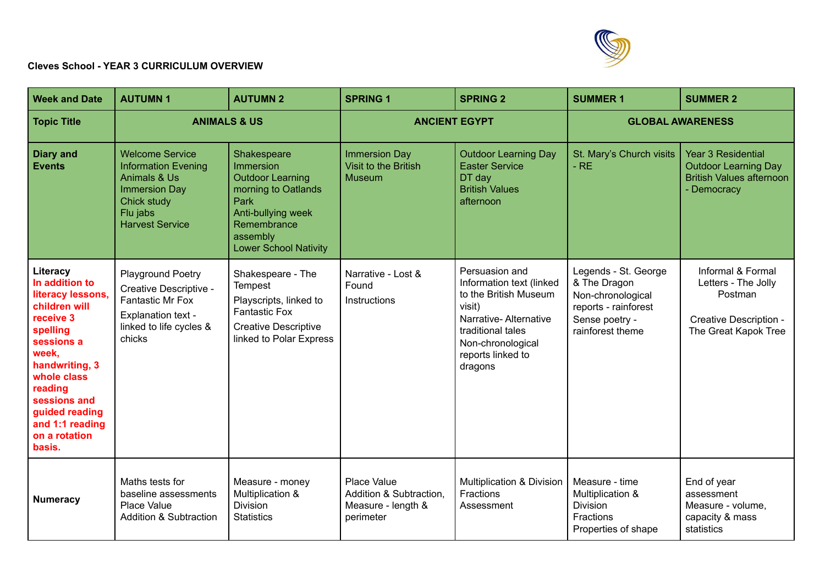

## **Cleves School - YEAR 3 CURRICULUM OVERVIEW**

| <b>Week and Date</b>                                                                                                                                                                                                                         | <b>AUTUMN1</b>                                                                                                                                               | <b>AUTUMN 2</b>                                                                                                                                                     | <b>SPRING 1</b>                                                           | <b>SPRING 2</b>                                                                                                                                                                  | <b>SUMMER 1</b>                                                                                                         | <b>SUMMER 2</b>                                                                                            |
|----------------------------------------------------------------------------------------------------------------------------------------------------------------------------------------------------------------------------------------------|--------------------------------------------------------------------------------------------------------------------------------------------------------------|---------------------------------------------------------------------------------------------------------------------------------------------------------------------|---------------------------------------------------------------------------|----------------------------------------------------------------------------------------------------------------------------------------------------------------------------------|-------------------------------------------------------------------------------------------------------------------------|------------------------------------------------------------------------------------------------------------|
| <b>Topic Title</b>                                                                                                                                                                                                                           | <b>ANIMALS &amp; US</b>                                                                                                                                      |                                                                                                                                                                     | <b>ANCIENT EGYPT</b>                                                      |                                                                                                                                                                                  | <b>GLOBAL AWARENESS</b>                                                                                                 |                                                                                                            |
| <b>Diary and</b><br><b>Events</b>                                                                                                                                                                                                            | <b>Welcome Service</b><br><b>Information Evening</b><br><b>Animals &amp; Us</b><br><b>Immersion Day</b><br>Chick study<br>Flu jabs<br><b>Harvest Service</b> | Shakespeare<br>Immersion<br><b>Outdoor Learning</b><br>morning to Oatlands<br>Park<br>Anti-bullying week<br>Remembrance<br>assembly<br><b>Lower School Nativity</b> | <b>Immersion Day</b><br>Visit to the British<br><b>Museum</b>             | <b>Outdoor Learning Day</b><br><b>Easter Service</b><br>DT day<br><b>British Values</b><br>afternoon                                                                             | St. Mary's Church visits<br>$-RE$                                                                                       | <b>Year 3 Residential</b><br><b>Outdoor Learning Day</b><br><b>British Values afternoon</b><br>- Democracy |
| Literacy<br>In addition to<br>literacy lessons,<br>children will<br>receive 3<br>spelling<br>sessions a<br>week,<br>handwriting, 3<br>whole class<br>reading<br>sessions and<br>guided reading<br>and 1:1 reading<br>on a rotation<br>basis. | <b>Playground Poetry</b><br>Creative Descriptive -<br><b>Fantastic Mr Fox</b><br><b>Explanation text -</b><br>linked to life cycles &<br>chicks              | Shakespeare - The<br><b>Tempest</b><br>Playscripts, linked to<br><b>Fantastic Fox</b><br><b>Creative Descriptive</b><br>linked to Polar Express                     | Narrative - Lost &<br>Found<br>Instructions                               | Persuasion and<br>Information text (linked<br>to the British Museum<br>visit)<br>Narrative-Alternative<br>traditional tales<br>Non-chronological<br>reports linked to<br>dragons | Legends - St. George<br>& The Dragon<br>Non-chronological<br>reports - rainforest<br>Sense poetry -<br>rainforest theme | Informal & Formal<br>Letters - The Jolly<br>Postman<br>Creative Description -<br>The Great Kapok Tree      |
| <b>Numeracy</b>                                                                                                                                                                                                                              | Maths tests for<br>baseline assessments<br>Place Value<br><b>Addition &amp; Subtraction</b>                                                                  | Measure - money<br>Multiplication &<br><b>Division</b><br><b>Statistics</b>                                                                                         | Place Value<br>Addition & Subtraction,<br>Measure - length &<br>perimeter | Multiplication & Division<br>Fractions<br>Assessment                                                                                                                             | Measure - time<br>Multiplication &<br><b>Division</b><br>Fractions<br>Properties of shape                               | End of year<br>assessment<br>Measure - volume,<br>capacity & mass<br>statistics                            |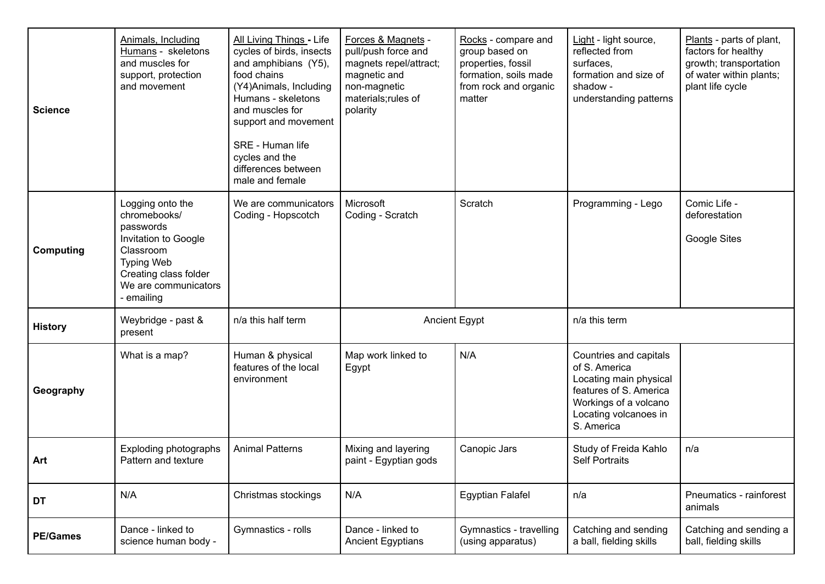| <b>Science</b>   | Animals, Including<br>Humans - skeletons<br>and muscles for<br>support, protection<br>and movement                                                                     | All Living Things - Life<br>cycles of birds, insects<br>and amphibians (Y5),<br>food chains<br>(Y4)Animals, Including<br>Humans - skeletons<br>and muscles for<br>support and movement<br>SRE - Human life<br>cycles and the<br>differences between<br>male and female | Forces & Magnets -<br>pull/push force and<br>magnets repel/attract;<br>magnetic and<br>non-magnetic<br>materials; rules of<br>polarity | Rocks - compare and<br>group based on<br>properties, fossil<br>formation, soils made<br>from rock and organic<br>matter | Light - light source,<br>reflected from<br>surfaces,<br>formation and size of<br>shadow -<br>understanding patterns                                         | Plants - parts of plant,<br>factors for healthy<br>growth; transportation<br>of water within plants;<br>plant life cycle |
|------------------|------------------------------------------------------------------------------------------------------------------------------------------------------------------------|------------------------------------------------------------------------------------------------------------------------------------------------------------------------------------------------------------------------------------------------------------------------|----------------------------------------------------------------------------------------------------------------------------------------|-------------------------------------------------------------------------------------------------------------------------|-------------------------------------------------------------------------------------------------------------------------------------------------------------|--------------------------------------------------------------------------------------------------------------------------|
| <b>Computing</b> | Logging onto the<br>chromebooks/<br>passwords<br>Invitation to Google<br>Classroom<br><b>Typing Web</b><br>Creating class folder<br>We are communicators<br>- emailing | We are communicators<br>Coding - Hopscotch                                                                                                                                                                                                                             | Microsoft<br>Coding - Scratch                                                                                                          | Scratch                                                                                                                 | Programming - Lego                                                                                                                                          | Comic Life -<br>deforestation<br>Google Sites                                                                            |
| <b>History</b>   | Weybridge - past &<br>present                                                                                                                                          | n/a this half term                                                                                                                                                                                                                                                     | Ancient Egypt                                                                                                                          |                                                                                                                         | n/a this term                                                                                                                                               |                                                                                                                          |
| Geography        | What is a map?                                                                                                                                                         | Human & physical<br>features of the local<br>environment                                                                                                                                                                                                               | Map work linked to<br>Egypt                                                                                                            | N/A                                                                                                                     | Countries and capitals<br>of S. America<br>Locating main physical<br>features of S. America<br>Workings of a volcano<br>Locating volcanoes in<br>S. America |                                                                                                                          |
| Art              | Exploding photographs<br>Pattern and texture                                                                                                                           | <b>Animal Patterns</b>                                                                                                                                                                                                                                                 | Mixing and layering<br>paint - Egyptian gods                                                                                           | Canopic Jars                                                                                                            | Study of Freida Kahlo<br><b>Self Portraits</b>                                                                                                              | n/a                                                                                                                      |
| DT               | N/A                                                                                                                                                                    | Christmas stockings                                                                                                                                                                                                                                                    | N/A                                                                                                                                    | <b>Egyptian Falafel</b>                                                                                                 | n/a                                                                                                                                                         | Pneumatics - rainforest<br>animals                                                                                       |
| <b>PE/Games</b>  | Dance - linked to<br>science human body -                                                                                                                              | Gymnastics - rolls                                                                                                                                                                                                                                                     | Dance - linked to<br><b>Ancient Egyptians</b>                                                                                          | Gymnastics - travelling<br>(using apparatus)                                                                            | Catching and sending<br>a ball, fielding skills                                                                                                             | Catching and sending a<br>ball, fielding skills                                                                          |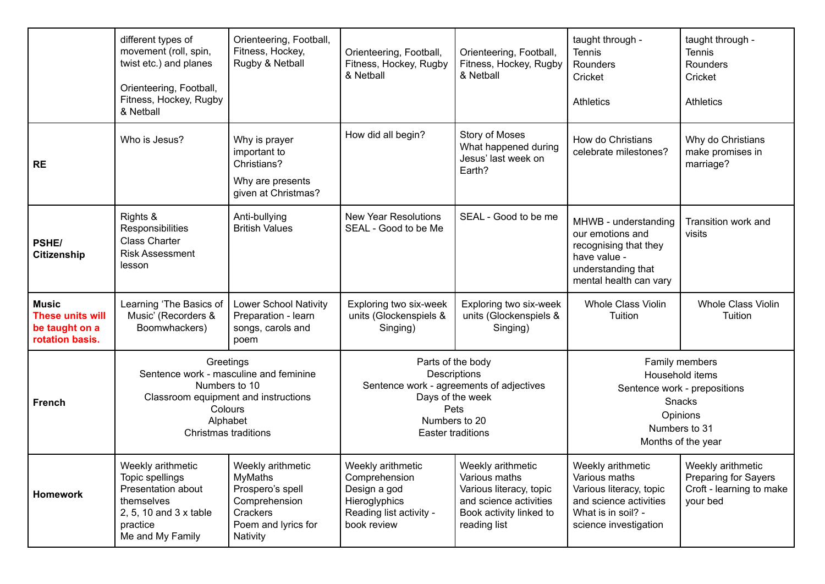|                                                                       | different types of<br>movement (roll, spin,<br>twist etc.) and planes<br>Orienteering, Football,<br>Fitness, Hockey, Rugby<br>& Netball                     | Orienteering, Football,<br>Fitness, Hockey,<br>Rugby & Netball                                                   | Orienteering, Football,<br>Fitness, Hockey, Rugby<br>& Netball                                                                                         | Orienteering, Football,<br>Fitness, Hockey, Rugby<br>& Netball                                                                     | taught through -<br>Tennis<br><b>Rounders</b><br>Cricket<br><b>Athletics</b>                                                           | taught through -<br><b>Tennis</b><br>Rounders<br>Cricket<br><b>Athletics</b>             |
|-----------------------------------------------------------------------|-------------------------------------------------------------------------------------------------------------------------------------------------------------|------------------------------------------------------------------------------------------------------------------|--------------------------------------------------------------------------------------------------------------------------------------------------------|------------------------------------------------------------------------------------------------------------------------------------|----------------------------------------------------------------------------------------------------------------------------------------|------------------------------------------------------------------------------------------|
| <b>RE</b>                                                             | Who is Jesus?                                                                                                                                               | Why is prayer<br>important to<br>Christians?<br>Why are presents<br>given at Christmas?                          | How did all begin?                                                                                                                                     | <b>Story of Moses</b><br>What happened during<br>Jesus' last week on<br>Earth?                                                     | How do Christians<br>celebrate milestones?                                                                                             | Why do Christians<br>make promises in<br>marriage?                                       |
| PSHE/<br><b>Citizenship</b>                                           | Rights &<br>Responsibilities<br><b>Class Charter</b><br><b>Risk Assessment</b><br>lesson                                                                    | Anti-bullying<br><b>British Values</b>                                                                           | <b>New Year Resolutions</b><br>SEAL - Good to be Me                                                                                                    | SEAL - Good to be me                                                                                                               | MHWB - understanding<br>our emotions and<br>recognising that they<br>have value -<br>understanding that<br>mental health can vary      | Transition work and<br>visits                                                            |
| <b>Music</b><br>These units will<br>be taught on a<br>rotation basis. | Learning 'The Basics of<br>Music' (Recorders &<br>Boomwhackers)                                                                                             | Lower School Nativity<br>Preparation - learn<br>songs, carols and<br>poem                                        | Exploring two six-week<br>units (Glockenspiels &<br>Singing)                                                                                           | Exploring two six-week<br>units (Glockenspiels &<br>Singing)                                                                       | <b>Whole Class Violin</b><br>Tuition                                                                                                   | <b>Whole Class Violin</b><br>Tuition                                                     |
| <b>French</b>                                                         | Greetings<br>Sentence work - masculine and feminine<br>Numbers to 10<br>Classroom equipment and instructions<br>Colours<br>Alphabet<br>Christmas traditions |                                                                                                                  | Parts of the body<br>Descriptions<br>Sentence work - agreements of adjectives<br>Days of the week<br>Pets<br>Numbers to 20<br><b>Easter traditions</b> |                                                                                                                                    | Family members<br>Household items<br>Sentence work - prepositions<br><b>Snacks</b><br>Opinions<br>Numbers to 31<br>Months of the year  |                                                                                          |
| <b>Homework</b>                                                       | Weekly arithmetic<br>Topic spellings<br>Presentation about<br>themselves<br>2, 5, 10 and 3 x table<br>practice<br>Me and My Family                          | Weekly arithmetic<br>MyMaths<br>Prospero's spell<br>Comprehension<br>Crackers<br>Poem and lyrics for<br>Nativity | Weekly arithmetic<br>Comprehension<br>Design a god<br>Hieroglyphics<br>Reading list activity -<br>book review                                          | Weekly arithmetic<br>Various maths<br>Various literacy, topic<br>and science activities<br>Book activity linked to<br>reading list | Weekly arithmetic<br>Various maths<br>Various literacy, topic<br>and science activities<br>What is in soil? -<br>science investigation | Weekly arithmetic<br><b>Preparing for Sayers</b><br>Croft - learning to make<br>your bed |